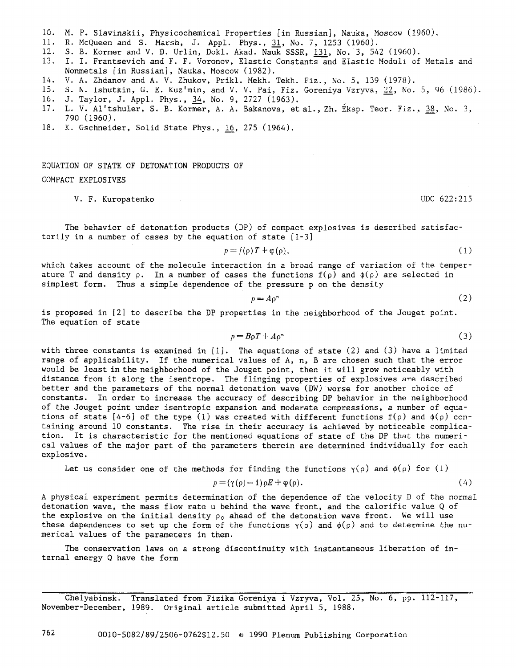- I0. M. P. Slavinskii, Physicochemical Properties [in Russian], Nauka, Moscow (1960).
- ii. R. McQueen and S. Marsh, J. Appl. Phys., 31, No. 7, 1253 (1960).
- 12. S. B. Kormer and V. D. Urlin, Dokl. Akad. Nauk SSSR, 131, No. 3, 542 (1960).
- 13. I. I. Frantsevich and F. F. Voronov, Elastic Constants and Elastic Moduli of Metals and Nonmetals [in Russian], Nauka, Moscow (1982).
- 14. V. A. Zhdanov and A. V. Zhukov, Prikl. Mekh. Tekh. Fiz., No. 5, 139 (1978).
- 15. S. N. Ishutkin, G. E. Kuz'min, and V. V. Pai, Fiz. Goreniya Vzryva, 22, No. 5, 96 (1986). 16. J. Taylor, J. Appl. Phys., 34, No. 9, 2727 (1963).
- 17. L. V. Al'tshuler, S. B. Kormer, A. A. Bakanova, et al., Zh. Eksp. Teor. Fiz., 38, No. 3, 790 (1960).
- 18. K. Gschneider, Solid State Phys., 16, 275 (1964).

EQUATION OF STATE OF DETONATION PRODUCTS OF COMPACT EXPLOSIVES

## V. F. Kuropatenko UDC 622:215

The behavior of detonation products (DP) of compact explosives is described satisfactorily in a number of cases by the equation of state [I-3]

$$
p = f(\rho)T + \varphi(\rho), \tag{1}
$$

which takes account of the molecule interaction in a broad range of variation of the temperature T and density  $\rho$ . In a number of cases the functions  $f(\rho)$  and  $\phi(\rho)$  are selected in simplest form. Thus a simple dependence of the pressure p on the density

$$
p = A \rho^n \tag{2}
$$

is proposed in [2] to describe the DP properties in the neighborhood of the Jouget point. The equation of state

$$
p = B_0 T + A_0^{\mathfrak{n}} \tag{3}
$$

with three constants is examined in  $[1]$ . The equations of state  $(2)$  and  $(3)$  have a limited range of applicability. If the numerical values of A, n, B are chosen such that the error would be least in the neighborhood of the Jouget point, then it will grow noticeably with distance from it along the isentrope. The flinging properties of explosives are described better and the parameters of the normal detonation wave (DW) worse for another choice of constants. In order to increase the accuracy of describing DP behavior in the neighborhood of the Jouget point under isentropic expansion and moderate compressions, a number of equations of state [4-6] of the type (1) was created with different functions  $f(\rho)$  and  $\phi(\rho)$  containing around i0 constants. The rise in their accuracy is achieved by noticeable complication. It is characteristic for the mentioned equations of state of the DP that the numerical values of the major part of the parameters therein are determined individually for each explosive.

Let us consider one of the methods for finding the functions  $\gamma(\rho)$  and  $\phi(\rho)$  for (1)

$$
p = (\gamma(\rho) - 1)\rho E + \varphi(\rho). \tag{4}
$$

A physical experiment permits determination of the dependence of the velocity D of the normal detonation wave, the mass flow rate u behind the wave front, and the calorific value Q of the explosive on the initial density  $\rho_0$  ahead of the detonation wave front. We will use these dependences to set up the form of the functions  $\gamma(\rho)$  and  $\phi(\rho)$  and to determine the numerical values of the parameters in them.

The conservation laws on a strong discontinuity with instantaneous liberation of internal energy Q have the form

Chelyabinsk. Translated from Fizika Goreniya i Vzryva, Vol. 25, No. 6, pp. 112-117, November-December, 1989. Original article submitted April 5, 1988.